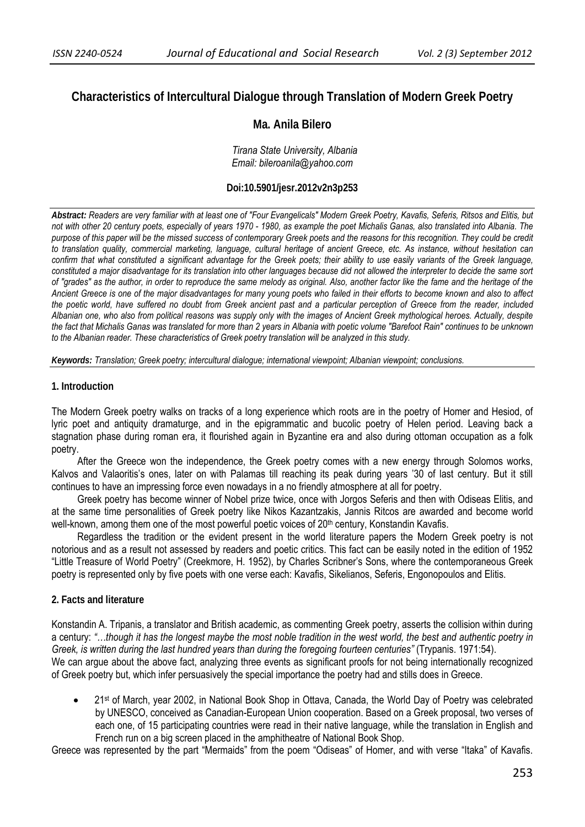# **Characteristics of Intercultural Dialogue through Translation of Modern Greek Poetry**

## **Ma. Anila Bilero**

 *Tirana State University, Albania Email: bileroanila@yahoo.com* 

### **Doi:10.5901/jesr.2012v2n3p253**

*Abstract: Readers are very familiar with at least one of "Four Evangelicals" Modern Greek Poetry, Kavafis, Seferis, Ritsos and Elitis, but not with other 20 century poets, especially of years 1970 - 1980, as example the poet Michalis Ganas, also translated into Albania. The*  purpose of this paper will be the missed success of contemporary Greek poets and the reasons for this recognition. They could be credit *to translation quality, commercial marketing, language, cultural heritage of ancient Greece, etc. As instance, without hesitation can confirm that what constituted a significant advantage for the Greek poets; their ability to use easily variants of the Greek language, constituted a major disadvantage for its translation into other languages because did not allowed the interpreter to decide the same sort of "grades" as the author, in order to reproduce the same melody as original. Also, another factor like the fame and the heritage of the Ancient Greece is one of the major disadvantages for many young poets who failed in their efforts to become known and also to affect the poetic world, have suffered no doubt from Greek ancient past and a particular perception of Greece from the reader, included Albanian one, who also from political reasons was supply only with the images of Ancient Greek mythological heroes. Actually, despite the fact that Michalis Ganas was translated for more than 2 years in Albania with poetic volume "Barefoot Rain" continues to be unknown to the Albanian reader. These characteristics of Greek poetry translation will be analyzed in this study.* 

*Keywords: Translation; Greek poetry; intercultural dialogue; international viewpoint; Albanian viewpoint; conclusions.* 

#### **1. Introduction**

The Modern Greek poetry walks on tracks of a long experience which roots are in the poetry of Homer and Hesiod, of lyric poet and antiquity dramaturge, and in the epigrammatic and bucolic poetry of Helen period. Leaving back a stagnation phase during roman era, it flourished again in Byzantine era and also during ottoman occupation as a folk poetry.

After the Greece won the independence, the Greek poetry comes with a new energy through Solomos works, Kalvos and Valaoritis's ones, later on with Palamas till reaching its peak during years '30 of last century. But it still continues to have an impressing force even nowadays in a no friendly atmosphere at all for poetry.

Greek poetry has become winner of Nobel prize twice, once with Jorgos Seferis and then with Odiseas Elitis, and at the same time personalities of Greek poetry like Nikos Kazantzakis, Jannis Ritcos are awarded and become world well-known, among them one of the most powerful poetic voices of 20<sup>th</sup> century, Konstandin Kavafis.

Regardless the tradition or the evident present in the world literature papers the Modern Greek poetry is not notorious and as a result not assessed by readers and poetic critics. This fact can be easily noted in the edition of 1952 "Little Treasure of World Poetry" (Creekmore, H. 1952), by Charles Scribner's Sons, where the contemporaneous Greek poetry is represented only by five poets with one verse each: Kavafis, Sikelianos, Seferis, Engonopoulos and Elitis.

## **2. Facts and literature**

Konstandin A. Tripanis, a translator and British academic, as commenting Greek poetry, asserts the collision within during a century: *"…though it has the longest maybe the most noble tradition in the west world, the best and authentic poetry in Greek, is written during the last hundred years than during the foregoing fourteen centuries"* (Trypanis. 1971:54). We can argue about the above fact, analyzing three events as significant proofs for not being internationally recognized of Greek poetry but, which infer persuasively the special importance the poetry had and stills does in Greece.

• 21<sup>st</sup> of March, year 2002, in National Book Shop in Ottava, Canada, the World Day of Poetry was celebrated by UNESCO, conceived as Canadian-European Union cooperation. Based on a Greek proposal, two verses of each one, of 15 participating countries were read in their native language, while the translation in English and French run on a big screen placed in the amphitheatre of National Book Shop.

Greece was represented by the part "Mermaids" from the poem "Odiseas" of Homer, and with verse "Itaka" of Kavafis.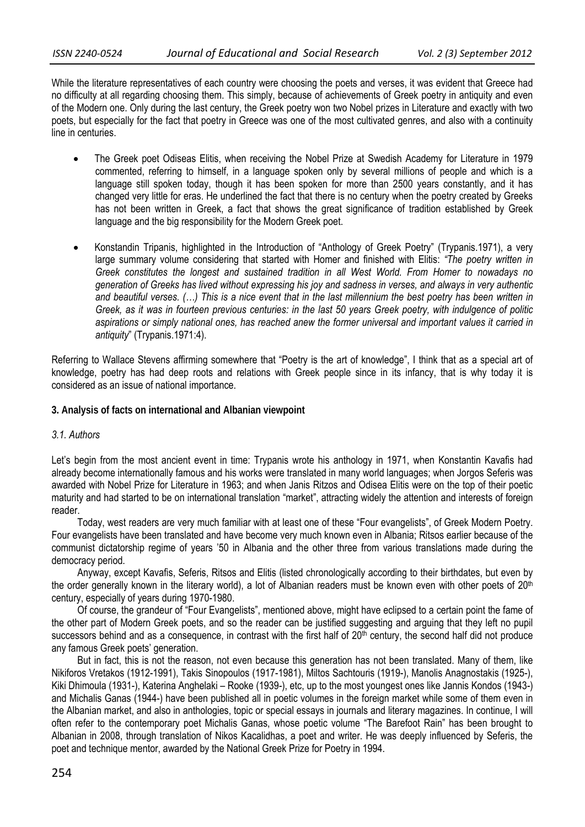While the literature representatives of each country were choosing the poets and verses, it was evident that Greece had no difficulty at all regarding choosing them. This simply, because of achievements of Greek poetry in antiquity and even of the Modern one. Only during the last century, the Greek poetry won two Nobel prizes in Literature and exactly with two poets, but especially for the fact that poetry in Greece was one of the most cultivated genres, and also with a continuity line in centuries.

- The Greek poet Odiseas Elitis, when receiving the Nobel Prize at Swedish Academy for Literature in 1979 commented, referring to himself, in a language spoken only by several millions of people and which is a language still spoken today, though it has been spoken for more than 2500 years constantly, and it has changed very little for eras. He underlined the fact that there is no century when the poetry created by Greeks has not been written in Greek, a fact that shows the great significance of tradition established by Greek language and the big responsibility for the Modern Greek poet.
- Konstandin Tripanis, highlighted in the Introduction of "Anthology of Greek Poetry" (Trypanis.1971), a very large summary volume considering that started with Homer and finished with Elitis: *"The poetry written in Greek constitutes the longest and sustained tradition in all West World. From Homer to nowadays no generation of Greeks has lived without expressing his joy and sadness in verses, and always in very authentic and beautiful verses. (…) This is a nice event that in the last millennium the best poetry has been written in Greek, as it was in fourteen previous centuries: in the last 50 years Greek poetry, with indulgence of politic aspirations or simply national ones, has reached anew the former universal and important values it carried in antiquity*" (Trypanis.1971:4).

Referring to Wallace Stevens affirming somewhere that "Poetry is the art of knowledge", I think that as a special art of knowledge, poetry has had deep roots and relations with Greek people since in its infancy, that is why today it is considered as an issue of national importance.

**3. Analysis of facts on international and Albanian viewpoint** 

## *3.1. Authors*

Let's begin from the most ancient event in time: Trypanis wrote his anthology in 1971, when Konstantin Kavafis had already become internationally famous and his works were translated in many world languages; when Jorgos Seferis was awarded with Nobel Prize for Literature in 1963; and when Janis Ritzos and Odisea Elitis were on the top of their poetic maturity and had started to be on international translation "market", attracting widely the attention and interests of foreign reader.

Today, west readers are very much familiar with at least one of these "Four evangelists", of Greek Modern Poetry. Four evangelists have been translated and have become very much known even in Albania; Ritsos earlier because of the communist dictatorship regime of years '50 in Albania and the other three from various translations made during the democracy period.

Anyway, except Kavafis, Seferis, Ritsos and Elitis (listed chronologically according to their birthdates, but even by the order generally known in the literary world), a lot of Albanian readers must be known even with other poets of 20<sup>th</sup> century, especially of years during 1970-1980.

Of course, the grandeur of "Four Evangelists", mentioned above, might have eclipsed to a certain point the fame of the other part of Modern Greek poets, and so the reader can be justified suggesting and arguing that they left no pupil successors behind and as a consequence, in contrast with the first half of 20<sup>th</sup> century, the second half did not produce any famous Greek poets' generation.

But in fact, this is not the reason, not even because this generation has not been translated. Many of them, like Nikiforos Vretakos (1912-1991), Takis Sinopoulos (1917-1981), Miltos Sachtouris (1919-), Manolis Anagnostakis (1925-), Kiki Dhimoula (1931-), Katerina Anghelaki – Rooke (1939-), etc, up to the most youngest ones like Jannis Kondos (1943-) and Michalis Ganas (1944-) have been published all in poetic volumes in the foreign market while some of them even in the Albanian market, and also in anthologies, topic or special essays in journals and literary magazines. In continue, I will often refer to the contemporary poet Michalis Ganas, whose poetic volume "The Barefoot Rain" has been brought to Albanian in 2008, through translation of Nikos Kacalidhas, a poet and writer. He was deeply influenced by Seferis, the poet and technique mentor, awarded by the National Greek Prize for Poetry in 1994.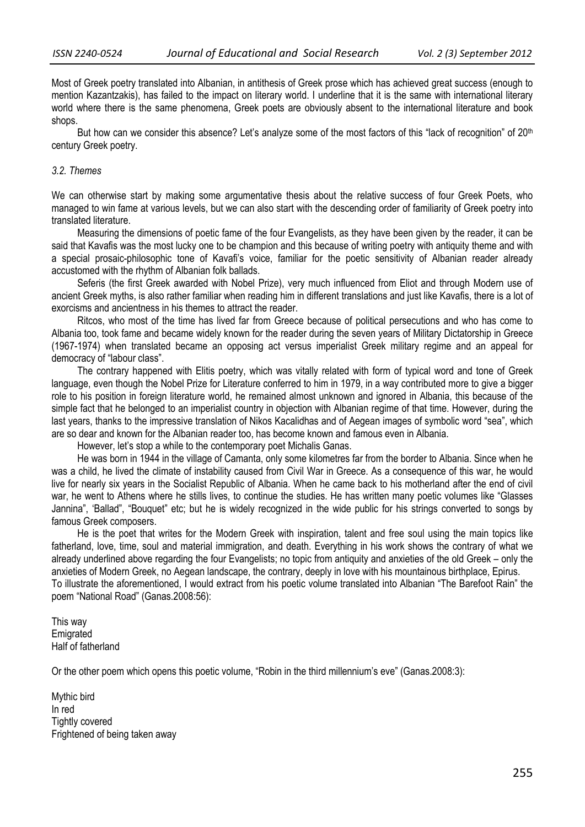Most of Greek poetry translated into Albanian, in antithesis of Greek prose which has achieved great success (enough to mention Kazantzakis), has failed to the impact on literary world. I underline that it is the same with international literary world where there is the same phenomena, Greek poets are obviously absent to the international literature and book shops.

But how can we consider this absence? Let's analyze some of the most factors of this "lack of recognition" of 20<sup>th</sup> century Greek poetry.

#### *3.2. Themes*

We can otherwise start by making some argumentative thesis about the relative success of four Greek Poets, who managed to win fame at various levels, but we can also start with the descending order of familiarity of Greek poetry into translated literature.

Measuring the dimensions of poetic fame of the four Evangelists, as they have been given by the reader, it can be said that Kavafis was the most lucky one to be champion and this because of writing poetry with antiquity theme and with a special prosaic-philosophic tone of Kavafi's voice, familiar for the poetic sensitivity of Albanian reader already accustomed with the rhythm of Albanian folk ballads.

Seferis (the first Greek awarded with Nobel Prize), very much influenced from Eliot and through Modern use of ancient Greek myths, is also rather familiar when reading him in different translations and just like Kavafis, there is a lot of exorcisms and ancientness in his themes to attract the reader.

Ritcos, who most of the time has lived far from Greece because of political persecutions and who has come to Albania too, took fame and became widely known for the reader during the seven years of Military Dictatorship in Greece (1967-1974) when translated became an opposing act versus imperialist Greek military regime and an appeal for democracy of "labour class".

The contrary happened with Elitis poetry, which was vitally related with form of typical word and tone of Greek language, even though the Nobel Prize for Literature conferred to him in 1979, in a way contributed more to give a bigger role to his position in foreign literature world, he remained almost unknown and ignored in Albania, this because of the simple fact that he belonged to an imperialist country in objection with Albanian regime of that time. However, during the last years, thanks to the impressive translation of Nikos Kacalidhas and of Aegean images of symbolic word "sea", which are so dear and known for the Albanian reader too, has become known and famous even in Albania.

However, let's stop a while to the contemporary poet Michalis Ganas.

He was born in 1944 in the village of Camanta, only some kilometres far from the border to Albania. Since when he was a child, he lived the climate of instability caused from Civil War in Greece. As a consequence of this war, he would live for nearly six years in the Socialist Republic of Albania. When he came back to his motherland after the end of civil war, he went to Athens where he stills lives, to continue the studies. He has written many poetic volumes like "Glasses Jannina", 'Ballad", "Bouquet" etc; but he is widely recognized in the wide public for his strings converted to songs by famous Greek composers.

He is the poet that writes for the Modern Greek with inspiration, talent and free soul using the main topics like fatherland, love, time, soul and material immigration, and death. Everything in his work shows the contrary of what we already underlined above regarding the four Evangelists; no topic from antiquity and anxieties of the old Greek – only the anxieties of Modern Greek, no Aegean landscape, the contrary, deeply in love with his mountainous birthplace, Epirus. To illustrate the aforementioned, I would extract from his poetic volume translated into Albanian "The Barefoot Rain" the poem "National Road" (Ganas.2008:56):

This way **Emigrated** Half of fatherland

Or the other poem which opens this poetic volume, "Robin in the third millennium's eve" (Ganas.2008:3):

Mythic bird In red Tightly covered Frightened of being taken away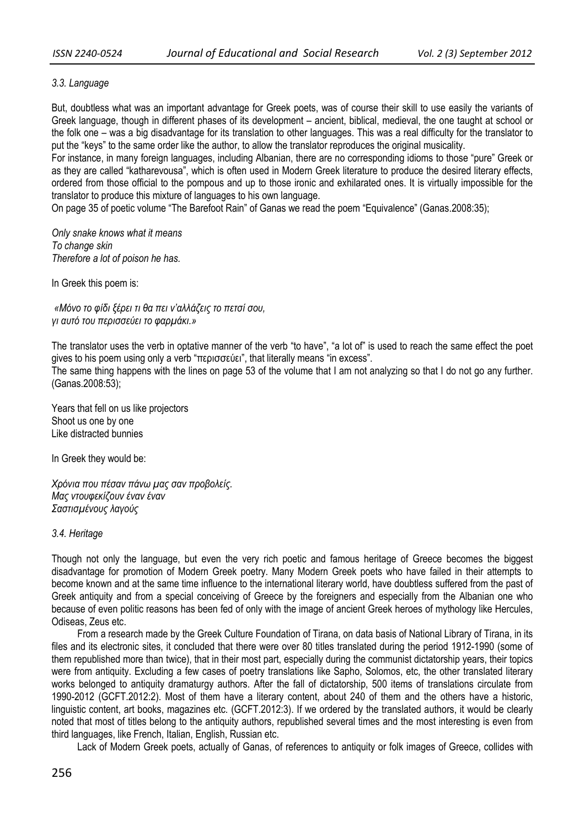## *3.3. Language*

But, doubtless what was an important advantage for Greek poets, was of course their skill to use easily the variants of Greek language, though in different phases of its development – ancient, biblical, medieval, the one taught at school or the folk one – was a big disadvantage for its translation to other languages. This was a real difficulty for the translator to put the "keys" to the same order like the author, to allow the translator reproduces the original musicality.

For instance, in many foreign languages, including Albanian, there are no corresponding idioms to those "pure" Greek or as they are called "katharevousa", which is often used in Modern Greek literature to produce the desired literary effects, ordered from those official to the pompous and up to those ironic and exhilarated ones. It is virtually impossible for the translator to produce this mixture of languages to his own language.

On page 35 of poetic volume "The Barefoot Rain" of Ganas we read the poem "Equivalence" (Ganas.2008:35);

*Only snake knows what it means To change skin Therefore a lot of poison he has.* 

In Greek this poem is:

*«Μόνο το φίδι ξέρει τι θα πει ν'αλλάζεις το πετσί σου, γι αυτό του περισσεύει το φαρμάκι.»* 

The translator uses the verb in optative manner of the verb "to have", "a lot of" is used to reach the same effect the poet gives to his poem using only a verb "περισσεύει", that literally means "in excess". The same thing happens with the lines on page 53 of the volume that I am not analyzing so that I do not go any further.

(Ganas.2008:53);

Years that fell on us like projectors Shoot us one by one Like distracted bunnies

In Greek they would be:

*Χρόνια που πέσαν πάνω μας σαν προβολείς. Μας ντουφεκίζουν έναν έναν Σαστισμένους λαγούς*

#### *3.4. Heritage*

Though not only the language, but even the very rich poetic and famous heritage of Greece becomes the biggest disadvantage for promotion of Modern Greek poetry. Many Modern Greek poets who have failed in their attempts to become known and at the same time influence to the international literary world, have doubtless suffered from the past of Greek antiquity and from a special conceiving of Greece by the foreigners and especially from the Albanian one who because of even politic reasons has been fed of only with the image of ancient Greek heroes of mythology like Hercules, Odiseas, Zeus etc.

From a research made by the Greek Culture Foundation of Tirana, on data basis of National Library of Tirana, in its files and its electronic sites, it concluded that there were over 80 titles translated during the period 1912-1990 (some of them republished more than twice), that in their most part, especially during the communist dictatorship years, their topics were from antiquity. Excluding a few cases of poetry translations like Sapho, Solomos, etc, the other translated literary works belonged to antiquity dramaturgy authors. After the fall of dictatorship, 500 items of translations circulate from 1990-2012 (GCFT.2012:2). Most of them have a literary content, about 240 of them and the others have a historic, linguistic content, art books, magazines etc. (GCFT.2012:3). If we ordered by the translated authors, it would be clearly noted that most of titles belong to the antiquity authors, republished several times and the most interesting is even from third languages, like French, Italian, English, Russian etc.

Lack of Modern Greek poets, actually of Ganas, of references to antiquity or folk images of Greece, collides with